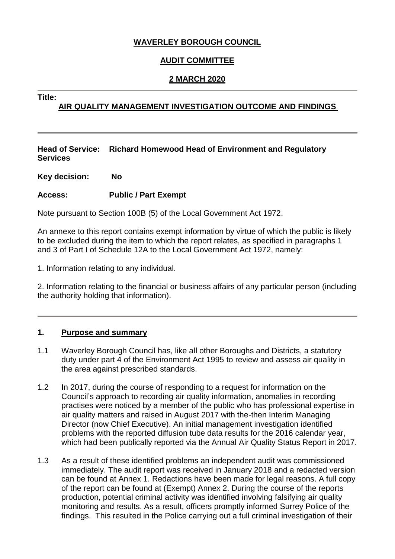# **WAVERLEY BOROUGH COUNCIL**

# **AUDIT COMMITTEE**

# **2 MARCH 2020**

**Title:**

# **AIR QUALITY MANAGEMENT INVESTIGATION OUTCOME AND FINDINGS**

**Head of Service: Richard Homewood Head of Environment and Regulatory Services**

**Key decision: No**

## **Access: Public / Part Exempt**

Note pursuant to Section 100B (5) of the Local Government Act 1972.

An annexe to this report contains exempt information by virtue of which the public is likely to be excluded during the item to which the report relates, as specified in paragraphs 1 and 3 of Part I of Schedule 12A to the Local Government Act 1972, namely:

1. Information relating to any individual.

2. Information relating to the financial or business affairs of any particular person (including the authority holding that information).

## **1. Purpose and summary**

- 1.1 Waverley Borough Council has, like all other Boroughs and Districts, a statutory duty under part 4 of the Environment Act 1995 to review and assess air quality in the area against prescribed standards.
- 1.2 In 2017, during the course of responding to a request for information on the Council's approach to recording air quality information, anomalies in recording practises were noticed by a member of the public who has professional expertise in air quality matters and raised in August 2017 with the-then Interim Managing Director (now Chief Executive). An initial management investigation identified problems with the reported diffusion tube data results for the 2016 calendar year, which had been publically reported via the Annual Air Quality Status Report in 2017.
- 1.3 As a result of these identified problems an independent audit was commissioned immediately. The audit report was received in January 2018 and a redacted version can be found at Annex 1. Redactions have been made for legal reasons. A full copy of the report can be found at (Exempt) Annex 2. During the course of the reports production, potential criminal activity was identified involving falsifying air quality monitoring and results. As a result, officers promptly informed Surrey Police of the findings. This resulted in the Police carrying out a full criminal investigation of their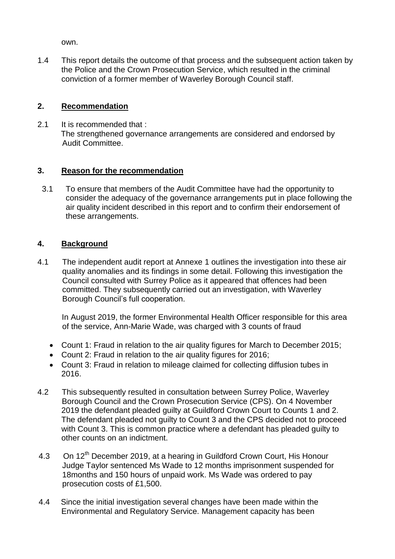own.

1.4 This report details the outcome of that process and the subsequent action taken by the Police and the Crown Prosecution Service, which resulted in the criminal conviction of a former member of Waverley Borough Council staff.

# **2. Recommendation**

2.1 It is recommended that : The strengthened governance arrangements are considered and endorsed by Audit Committee.

# **3. Reason for the recommendation**

 3.1 To ensure that members of the Audit Committee have had the opportunity to consider the adequacy of the governance arrangements put in place following the air quality incident described in this report and to confirm their endorsement of these arrangements.

# **4. Background**

4.1 The independent audit report at Annexe 1 outlines the investigation into these air quality anomalies and its findings in some detail. Following this investigation the Council consulted with Surrey Police as it appeared that offences had been committed. They subsequently carried out an investigation, with Waverley Borough Council's full cooperation.

 In August 2019, the former Environmental Health Officer responsible for this area of the service, Ann-Marie Wade, was charged with 3 counts of fraud

- Count 1: Fraud in relation to the air quality figures for March to December 2015;
- Count 2: Fraud in relation to the air quality figures for 2016;
- Count 3: Fraud in relation to mileage claimed for collecting diffusion tubes in 2016.
- 4.2 This subsequently resulted in consultation between Surrey Police, Waverley Borough Council and the Crown Prosecution Service (CPS). On 4 November 2019 the defendant pleaded guilty at Guildford Crown Court to Counts 1 and 2. The defendant pleaded not guilty to Count 3 and the CPS decided not to proceed with Count 3. This is common practice where a defendant has pleaded guilty to other counts on an indictment.
- 4.3 On 12<sup>th</sup> December 2019, at a hearing in Guildford Crown Court, His Honour Judge Taylor sentenced Ms Wade to 12 months imprisonment suspended for 18months and 150 hours of unpaid work. Ms Wade was ordered to pay prosecution costs of £1,500.
- 4.4 Since the initial investigation several changes have been made within the Environmental and Regulatory Service. Management capacity has been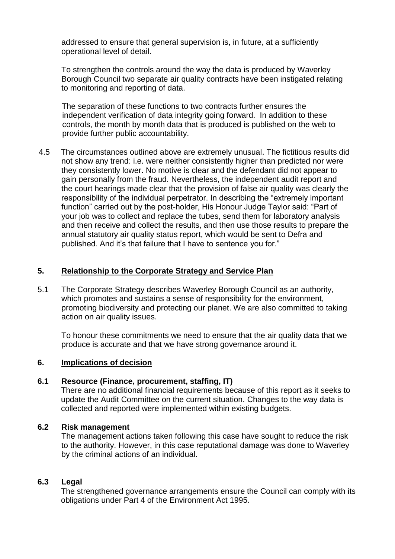addressed to ensure that general supervision is, in future, at a sufficiently operational level of detail.

To strengthen the controls around the way the data is produced by Waverley Borough Council two separate air quality contracts have been instigated relating to monitoring and reporting of data.

 The separation of these functions to two contracts further ensures the independent verification of data integrity going forward. In addition to these controls, the month by month data that is produced is published on the web to provide further public accountability.

4.5 The circumstances outlined above are extremely unusual. The fictitious results did not show any trend: i.e. were neither consistently higher than predicted nor were they consistently lower. No motive is clear and the defendant did not appear to gain personally from the fraud. Nevertheless, the independent audit report and the court hearings made clear that the provision of false air quality was clearly the responsibility of the individual perpetrator. In describing the "extremely important function" carried out by the post-holder, His Honour Judge Taylor said: "Part of your job was to collect and replace the tubes, send them for laboratory analysis and then receive and collect the results, and then use those results to prepare the annual statutory air quality status report, which would be sent to Defra and published. And it's that failure that I have to sentence you for."

## **5. Relationship to the Corporate Strategy and Service Plan**

5.1 The Corporate Strategy describes Waverley Borough Council as an authority, which promotes and sustains a sense of responsibility for the environment, promoting biodiversity and protecting our planet. We are also committed to taking action on air quality issues.

To honour these commitments we need to ensure that the air quality data that we produce is accurate and that we have strong governance around it.

## **6. Implications of decision**

#### **6.1 Resource (Finance, procurement, staffing, IT)**

There are no additional financial requirements because of this report as it seeks to update the Audit Committee on the current situation. Changes to the way data is collected and reported were implemented within existing budgets.

#### **6.2 Risk management**

The management actions taken following this case have sought to reduce the risk to the authority. However, in this case reputational damage was done to Waverley by the criminal actions of an individual.

#### **6.3 Legal**

The strengthened governance arrangements ensure the Council can comply with its obligations under Part 4 of the Environment Act 1995.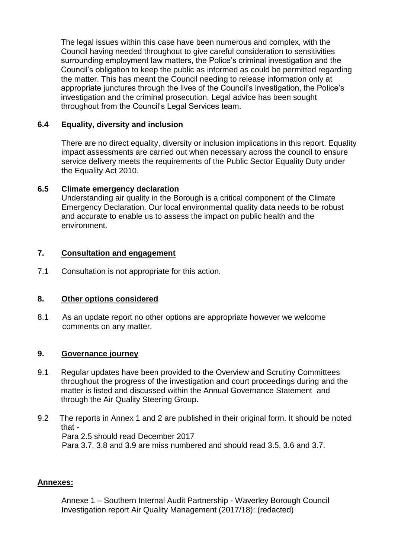The legal issues within this case have been numerous and complex, with the Council having needed throughout to give careful consideration to sensitivities surrounding employment law matters, the Police's criminal investigation and the Council's obligation to keep the public as informed as could be permitted regarding the matter. This has meant the Council needing to release information only at appropriate junctures through the lives of the Council's investigation, the Police's investigation and the criminal prosecution. Legal advice has been sought throughout from the Council's Legal Services team.

# **6.4 Equality, diversity and inclusion**

There are no direct equality, diversity or inclusion implications in this report. Equality impact assessments are carried out when necessary across the council to ensure service delivery meets the requirements of the Public Sector Equality Duty under the Equality Act 2010.

## **6.5 Climate emergency declaration**

Understanding air quality in the Borough is a critical component of the Climate Emergency Declaration. Our local environmental quality data needs to be robust and accurate to enable us to assess the impact on public health and the environment.

## **7. Consultation and engagement**

7.1 Consultation is not appropriate for this action.

## **8. Other options considered**

8.1 As an update report no other options are appropriate however we welcome comments on any matter.

## **9. Governance journey**

- 9.1 Regular updates have been provided to the Overview and Scrutiny Committees throughout the progress of the investigation and court proceedings during and the matter is listed and discussed within the Annual Governance Statement and through the Air Quality Steering Group.
- 9.2 The reports in Annex 1 and 2 are published in their original form. It should be noted that - Para 2.5 should read December 2017 Para 3.7, 3.8 and 3.9 are miss numbered and should read 3.5, 3.6 and 3.7.

#### **Annexes:**

Annexe 1 – Southern Internal Audit Partnership - Waverley Borough Council Investigation report Air Quality Management (2017/18): (redacted)